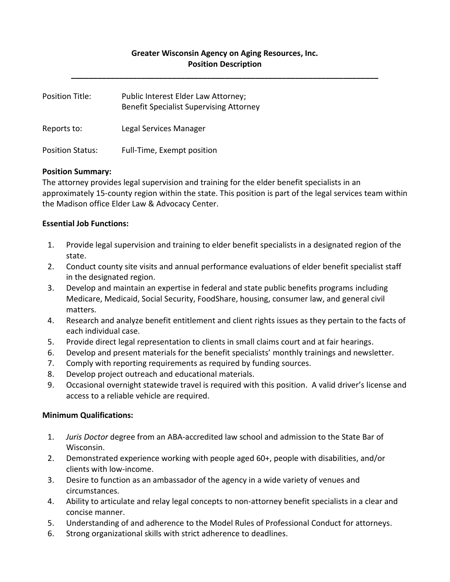## **Greater Wisconsin Agency on Aging Resources, Inc. Position Description**

**\_\_\_\_\_\_\_\_\_\_\_\_\_\_\_\_\_\_\_\_\_\_\_\_\_\_\_\_\_\_\_\_\_\_\_\_\_\_\_\_\_\_\_\_\_\_\_\_\_\_\_\_\_\_\_\_\_\_\_\_\_\_\_\_\_\_\_\_\_\_**

| Position Title:         | Public Interest Elder Law Attorney;<br><b>Benefit Specialist Supervising Attorney</b> |
|-------------------------|---------------------------------------------------------------------------------------|
| Reports to:             | Legal Services Manager                                                                |
| <b>Position Status:</b> | Full-Time, Exempt position                                                            |

## **Position Summary:**

The attorney provides legal supervision and training for the elder benefit specialists in an approximately 15-county region within the state. This position is part of the legal services team within the Madison office Elder Law & Advocacy Center.

#### **Essential Job Functions:**

- 1. Provide legal supervision and training to elder benefit specialists in a designated region of the state.
- 2. Conduct county site visits and annual performance evaluations of elder benefit specialist staff in the designated region.
- 3. Develop and maintain an expertise in federal and state public benefits programs including Medicare, Medicaid, Social Security, FoodShare, housing, consumer law, and general civil matters.
- 4. Research and analyze benefit entitlement and client rights issues as they pertain to the facts of each individual case.
- 5. Provide direct legal representation to clients in small claims court and at fair hearings.
- 6. Develop and present materials for the benefit specialists' monthly trainings and newsletter.
- 7. Comply with reporting requirements as required by funding sources.
- 8. Develop project outreach and educational materials.
- 9. Occasional overnight statewide travel is required with this position. A valid driver's license and access to a reliable vehicle are required.

## **Minimum Qualifications:**

- 1. *Juris Doctor* degree from an ABA-accredited law school and admission to the State Bar of Wisconsin.
- 2. Demonstrated experience working with people aged 60+, people with disabilities, and/or clients with low-income.
- 3. Desire to function as an ambassador of the agency in a wide variety of venues and circumstances.
- 4. Ability to articulate and relay legal concepts to non-attorney benefit specialists in a clear and concise manner.
- 5. Understanding of and adherence to the Model Rules of Professional Conduct for attorneys.
- 6. Strong organizational skills with strict adherence to deadlines.